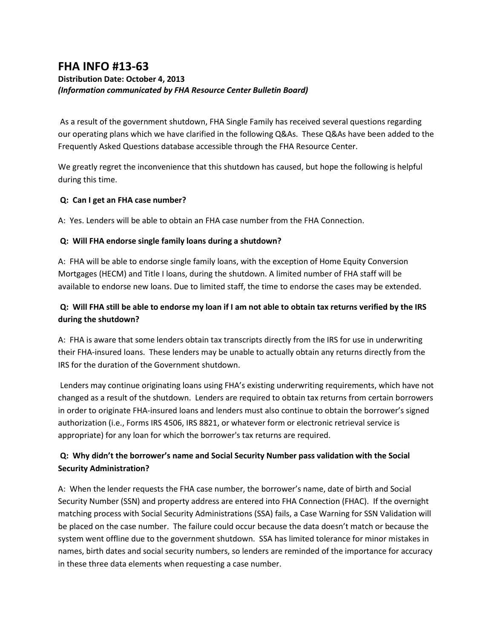# **FHA INFO #13-63**

# **Distribution Date: October 4, 2013** *(Information communicated by FHA Resource Center Bulletin Board)*

As a result of the government shutdown, FHA Single Family has received several questions regarding our operating plans which we have clarified in the following Q&As. These Q&As have been added to the Frequently Asked Questions database accessible through the FHA Resource Center.

We greatly regret the inconvenience that this shutdown has caused, but hope the following is helpful during this time.

### **Q: Can I get an FHA case number?**

A: Yes. Lenders will be able to obtain an FHA case number from the FHA Connection.

### **Q: Will FHA endorse single family loans during a shutdown?**

A: FHA will be able to endorse single family loans, with the exception of Home Equity Conversion Mortgages (HECM) and Title I loans, during the shutdown. A limited number of FHA staff will be available to endorse new loans. Due to limited staff, the time to endorse the cases may be extended.

# **Q: Will FHA still be able to endorse my loan if I am not able to obtain tax returns verified by the IRS during the shutdown?**

A: FHA is aware that some lenders obtain tax transcripts directly from the IRS for use in underwriting their FHA-insured loans. These lenders may be unable to actually obtain any returns directly from the IRS for the duration of the Government shutdown.

Lenders may continue originating loans using FHA's existing underwriting requirements, which have not changed as a result of the shutdown. Lenders are required to obtain tax returns from certain borrowers in order to originate FHA-insured loans and lenders must also continue to obtain the borrower's signed authorization (i.e., Forms IRS 4506, IRS 8821, or whatever form or electronic retrieval service is appropriate) for any loan for which the borrower's tax returns are required.

# **Q: Why didn't the borrower's name and Social Security Number pass validation with the Social Security Administration?**

A: When the lender requests the FHA case number, the borrower's name, date of birth and Social Security Number (SSN) and property address are entered into FHA Connection (FHAC). If the overnight matching process with Social Security Administrations (SSA) fails, a Case Warning for SSN Validation will be placed on the case number. The failure could occur because the data doesn't match or because the system went offline due to the government shutdown. SSA has limited tolerance for minor mistakes in names, birth dates and social security numbers, so lenders are reminded of the importance for accuracy in these three data elements when requesting a case number.